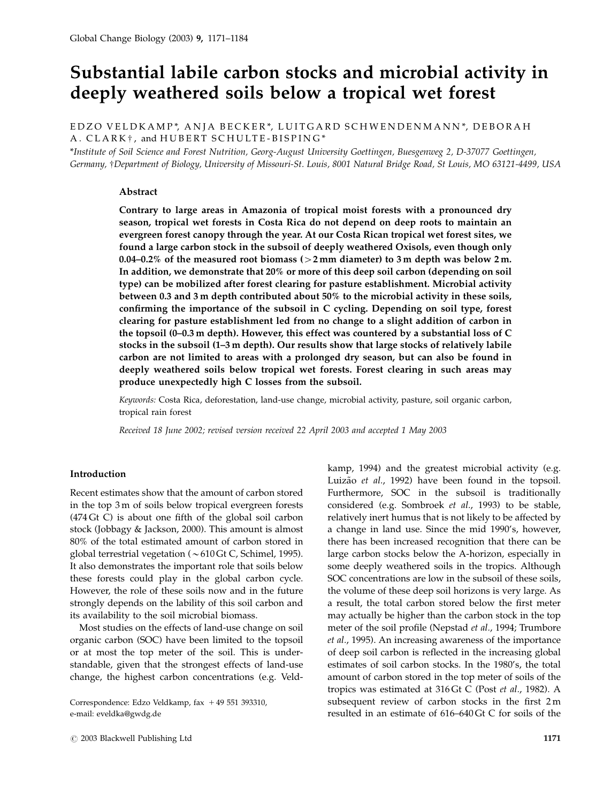# Substantial labile carbon stocks and microbial activity in deeply weathered soils below a tropical wet forest

EDZO VELDKAMP \*, ANJA BECKER \*, LUITGARD SCHWENDENMANN \*, DEBORAH A. CLARK<sup>+</sup>, and HUBERT SCHULTE-BISPING\*

\*Institute of Soil Science and Forest Nutrition, Georg-August University Goettingen, Buesgenweg 2, D-37077 Goettingen, Germany, †Department of Biology, University of Missouri-St. Louis, 8001 Natural Bridge Road, St Louis, MO 63121-4499, USA

#### Abstract

Contrary to large areas in Amazonia of tropical moist forests with a pronounced dry season, tropical wet forests in Costa Rica do not depend on deep roots to maintain an evergreen forest canopy through the year. At our Costa Rican tropical wet forest sites, we found a large carbon stock in the subsoil of deeply weathered Oxisols, even though only 0.04–0.2% of the measured root biomass ( $>$ 2 mm diameter) to 3 m depth was below 2 m. In addition, we demonstrate that 20% or more of this deep soil carbon (depending on soil type) can be mobilized after forest clearing for pasture establishment. Microbial activity between 0.3 and 3 m depth contributed about 50% to the microbial activity in these soils, confirming the importance of the subsoil in C cycling. Depending on soil type, forest clearing for pasture establishment led from no change to a slight addition of carbon in the topsoil (0–0.3 m depth). However, this effect was countered by a substantial loss of C stocks in the subsoil (1–3 m depth). Our results show that large stocks of relatively labile carbon are not limited to areas with a prolonged dry season, but can also be found in deeply weathered soils below tropical wet forests. Forest clearing in such areas may produce unexpectedly high C losses from the subsoil.

Keywords: Costa Rica, deforestation, land-use change, microbial activity, pasture, soil organic carbon, tropical rain forest

Received 18 June 2002; revised version received 22 April 2003 and accepted 1 May 2003

#### Introduction

Recent estimates show that the amount of carbon stored in the top 3 m of soils below tropical evergreen forests (474 Gt C) is about one fifth of the global soil carbon stock (Jobbagy & Jackson, 2000). This amount is almost 80% of the total estimated amount of carbon stored in global terrestrial vegetation ( $\sim$  610 Gt C, Schimel, 1995). It also demonstrates the important role that soils below these forests could play in the global carbon cycle. However, the role of these soils now and in the future strongly depends on the lability of this soil carbon and its availability to the soil microbial biomass.

Most studies on the effects of land-use change on soil organic carbon (SOC) have been limited to the topsoil or at most the top meter of the soil. This is understandable, given that the strongest effects of land-use change, the highest carbon concentrations (e.g. Veld-

Correspondence: Edzo Veldkamp,  $fax + 49\overline{551}$  393310, e-mail: eveldka@gwdg.de

kamp, 1994) and the greatest microbial activity (e.g. Luizão et al., 1992) have been found in the topsoil. Furthermore, SOC in the subsoil is traditionally considered (e.g. Sombroek et al., 1993) to be stable, relatively inert humus that is not likely to be affected by a change in land use. Since the mid 1990's, however, there has been increased recognition that there can be large carbon stocks below the A-horizon, especially in some deeply weathered soils in the tropics. Although SOC concentrations are low in the subsoil of these soils, the volume of these deep soil horizons is very large. As a result, the total carbon stored below the first meter may actually be higher than the carbon stock in the top meter of the soil profile (Nepstad et al., 1994; Trumbore et al., 1995). An increasing awareness of the importance of deep soil carbon is reflected in the increasing global estimates of soil carbon stocks. In the 1980's, the total amount of carbon stored in the top meter of soils of the tropics was estimated at 316 Gt C (Post et al., 1982). A subsequent review of carbon stocks in the first 2 m resulted in an estimate of 616–640 Gt C for soils of the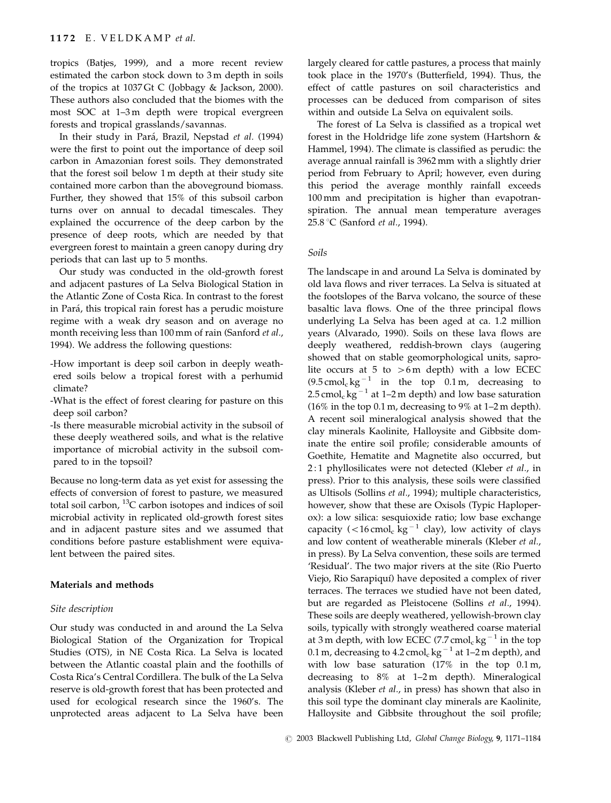tropics (Batjes, 1999), and a more recent review estimated the carbon stock down to 3 m depth in soils of the tropics at 1037 Gt C (Jobbagy & Jackson, 2000). These authors also concluded that the biomes with the most SOC at 1–3 m depth were tropical evergreen forests and tropical grasslands/savannas.

In their study in Pará, Brazil, Nepstad et al. (1994) were the first to point out the importance of deep soil carbon in Amazonian forest soils. They demonstrated that the forest soil below 1 m depth at their study site contained more carbon than the aboveground biomass. Further, they showed that 15% of this subsoil carbon turns over on annual to decadal timescales. They explained the occurrence of the deep carbon by the presence of deep roots, which are needed by that evergreen forest to maintain a green canopy during dry periods that can last up to 5 months.

Our study was conducted in the old-growth forest and adjacent pastures of La Selva Biological Station in the Atlantic Zone of Costa Rica. In contrast to the forest in Para´, this tropical rain forest has a perudic moisture regime with a weak dry season and on average no month receiving less than 100 mm of rain (Sanford et al., 1994). We address the following questions:

- -How important is deep soil carbon in deeply weathered soils below a tropical forest with a perhumid climate?
- -What is the effect of forest clearing for pasture on this deep soil carbon?
- -Is there measurable microbial activity in the subsoil of these deeply weathered soils, and what is the relative importance of microbial activity in the subsoil compared to in the topsoil?

Because no long-term data as yet exist for assessing the effects of conversion of forest to pasture, we measured total soil carbon,  ${}^{13}C$  carbon isotopes and indices of soil microbial activity in replicated old-growth forest sites and in adjacent pasture sites and we assumed that conditions before pasture establishment were equivalent between the paired sites.

## Materials and methods

#### Site description

Our study was conducted in and around the La Selva Biological Station of the Organization for Tropical Studies (OTS), in NE Costa Rica. La Selva is located between the Atlantic coastal plain and the foothills of Costa Rica's Central Cordillera. The bulk of the La Selva reserve is old-growth forest that has been protected and used for ecological research since the 1960's. The unprotected areas adjacent to La Selva have been largely cleared for cattle pastures, a process that mainly took place in the 1970's (Butterfield, 1994). Thus, the effect of cattle pastures on soil characteristics and processes can be deduced from comparison of sites within and outside La Selva on equivalent soils.

The forest of La Selva is classified as a tropical wet forest in the Holdridge life zone system (Hartshorn & Hammel, 1994). The climate is classified as perudic: the average annual rainfall is 3962 mm with a slightly drier period from February to April; however, even during this period the average monthly rainfall exceeds 100 mm and precipitation is higher than evapotranspiration. The annual mean temperature averages 25.8 °C (Sanford et al., 1994).

## Soils

The landscape in and around La Selva is dominated by old lava flows and river terraces. La Selva is situated at the footslopes of the Barva volcano, the source of these basaltic lava flows. One of the three principal flows underlying La Selva has been aged at ca. 1.2 million years (Alvarado, 1990). Soils on these lava flows are deeply weathered, reddish-brown clays (augering showed that on stable geomorphological units, saprolite occurs at  $5$  to  $>6$  m depth) with a low ECEC  $(9.5 \text{ cmol}_c \text{kg}^{-1}$  in the top 0.1 m, decreasing to 2.5 cmol<sub>c</sub> kg<sup> $-1$ </sup> at 1–2 m depth) and low base saturation (16% in the top 0.1 m, decreasing to 9% at 1–2 m depth). A recent soil mineralogical analysis showed that the clay minerals Kaolinite, Halloysite and Gibbsite dominate the entire soil profile; considerable amounts of Goethite, Hematite and Magnetite also occurred, but 2 : 1 phyllosilicates were not detected (Kleber et al., in press). Prior to this analysis, these soils were classified as Ultisols (Sollins et al., 1994); multiple characteristics, however, show that these are Oxisols (Typic Haploperox): a low silica: sesquioxide ratio; low base exchange capacity (<16 cmol<sub>c</sub> kg<sup>-1</sup> clay), low activity of clays and low content of weatherable minerals (Kleber et al., in press). By La Selva convention, these soils are termed 'Residual'. The two major rivers at the site (Rio Puerto Viejo, Rio Sarapiquí) have deposited a complex of river terraces. The terraces we studied have not been dated, but are regarded as Pleistocene (Sollins et al., 1994). These soils are deeply weathered, yellowish-brown clay soils, typically with strongly weathered coarse material at 3 m depth, with low ECEC (7.7 cmol<sub>c</sub> kg<sup> $-1$ </sup> in the top 0.1 m, decreasing to 4.2 cmol<sub>c</sub> kg<sup> $-1$ </sup> at 1–2 m depth), and with low base saturation (17% in the top 0.1 m, decreasing to 8% at 1–2 m depth). Mineralogical analysis (Kleber et al., in press) has shown that also in this soil type the dominant clay minerals are Kaolinite, Halloysite and Gibbsite throughout the soil profile;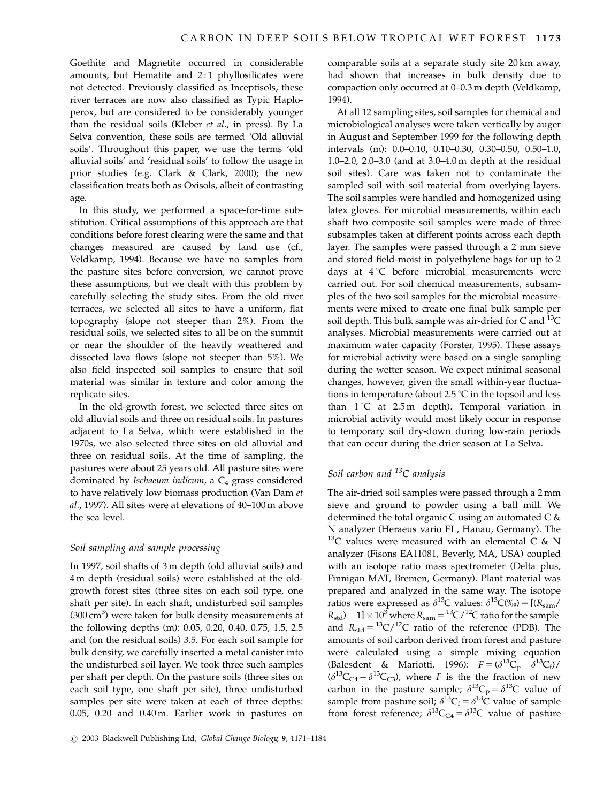Goethite and Magnetite occurred in considerable amounts, but Hematite and 2:1 phyllosilicates were not detected. Previously classified as Inceptisols, these river terraces are now also classified as Typic Haploperox, but are considered to be considerably younger than the residual soils (Kleber et al., in press). By La Selva convention, these soils are termed 'Old alluvial soils'. Throughout this paper, we use the terms 'old alluvial soils' and 'residual soils' to follow the usage in prior studies (e.g. Clark & Clark, 2000); the new classification treats both as Oxisols, albeit of contrasting age.

In this study, we performed a space-for-time substitution. Critical assumptions of this approach are that conditions before forest clearing were the same and that changes measured are caused by land use (cf., Veldkamp, 1994). Because we have no samples from the pasture sites before conversion, we cannot prove these assumptions, but we dealt with this problem by carefully selecting the study sites. From the old river terraces, we selected all sites to have a uniform, flat topography (slope not steeper than 2%). From the residual soils, we selected sites to all be on the summit or near the shoulder of the heavily weathered and dissected lava flows (slope not steeper than 5%). We also field inspected soil samples to ensure that soil material was similar in texture and color among the replicate sites.

In the old-growth forest, we selected three sites on old alluvial soils and three on residual soils. In pastures adjacent to La Selva, which were established in the 1970s, we also selected three sites on old alluvial and three on residual soils. At the time of sampling, the pastures were about 25 years old. All pasture sites were dominated by Ischaeum indicum, a  $C_4$  grass considered to have relatively low biomass production (Van Dam et al., 1997). All sites were at elevations of 40–100 m above the sea level.

## Soil sampling and sample processing

In 1997, soil shafts of 3 m depth (old alluvial soils) and 4 m depth (residual soils) were established at the oldgrowth forest sites (three sites on each soil type, one shaft per site). In each shaft, undisturbed soil samples  $(300 \text{ cm}^3)$  were taken for bulk density measurements at the following depths (m): 0.05, 0.20, 0.40, 0.75, 1.5, 2.5 and (on the residual soils) 3.5. For each soil sample for bulk density, we carefully inserted a metal canister into the undisturbed soil layer. We took three such samples per shaft per depth. On the pasture soils (three sites on each soil type, one shaft per site), three undisturbed samples per site were taken at each of three depths: 0.05, 0.20 and 0.40 m. Earlier work in pastures on comparable soils at a separate study site 20 km away, had shown that increases in bulk density due to compaction only occurred at 0–0.3 m depth (Veldkamp, 1994).

At all 12 sampling sites, soil samples for chemical and microbiological analyses were taken vertically by auger in August and September 1999 for the following depth intervals (m): 0.0–0.10, 0.10–0.30, 0.30–0.50, 0.50–1.0, 1.0–2.0, 2.0–3.0 (and at 3.0–4.0 m depth at the residual soil sites). Care was taken not to contaminate the sampled soil with soil material from overlying layers. The soil samples were handled and homogenized using latex gloves. For microbial measurements, within each shaft two composite soil samples were made of three subsamples taken at different points across each depth layer. The samples were passed through a 2 mm sieve and stored field-moist in polyethylene bags for up to 2 days at  $4^{\circ}$ C before microbial measurements were carried out. For soil chemical measurements, subsamples of the two soil samples for the microbial measurements were mixed to create one final bulk sample per soil depth. This bulk sample was air-dried for C and  $^{13}C$ analyses. Microbial measurements were carried out at maximum water capacity (Forster, 1995). These assays for microbial activity were based on a single sampling during the wetter season. We expect minimal seasonal changes, however, given the small within-year fluctuations in temperature (about  $2.5\textdegree C$  in the topsoil and less than  $1^{\circ}$ C at 2.5 m depth). Temporal variation in microbial activity would most likely occur in response to temporary soil dry-down during low-rain periods that can occur during the drier season at La Selva.

# Soil carbon and  ${}^{13}C$  analysis

The air-dried soil samples were passed through a 2 mm sieve and ground to powder using a ball mill. We determined the total organic C using an automated C  $&$ N analyzer (Heraeus vario EL, Hanau, Germany). The <sup>13</sup>C values were measured with an elemental C & N analyzer (Fisons EA11081, Beverly, MA, USA) coupled with an isotope ratio mass spectrometer (Delta plus, Finnigan MAT, Bremen, Germany). Plant material was prepared and analyzed in the same way. The isotope ratios were expressed as  $\delta^{13}$ C values:  $\delta^{13}$ C(‰) = [(R<sub>sam</sub>/  $R_{\rm std}$ )  $-1$ ]  $\times$  10<sup>3</sup> where  $R_{\rm sam}$   $=$  <sup>13</sup>C/<sup>12</sup>C ratio for the sample and  $R_{\text{std}} = {}^{13}C/{}^{12}C$  ratio of the reference (PDB). The amounts of soil carbon derived from forest and pasture were calculated using a simple mixing equation (Balesdent & Mariotti, 1996):  $F = (\delta^{13}C_p - \delta^{13}C_f)/$  $(\delta^{13}C_{C4} - \delta^{13}C_{C3})$ , where F is the the fraction of new carbon in the pasture sample;  $\delta^{13}C_p = \delta^{13}C$  value of sample from pasture soil;  $\delta^{13}C_f = \delta^{13}C$  value of sample from forest reference;  $\delta^{13}C_{C4} = \delta^{13}C$  value of pasture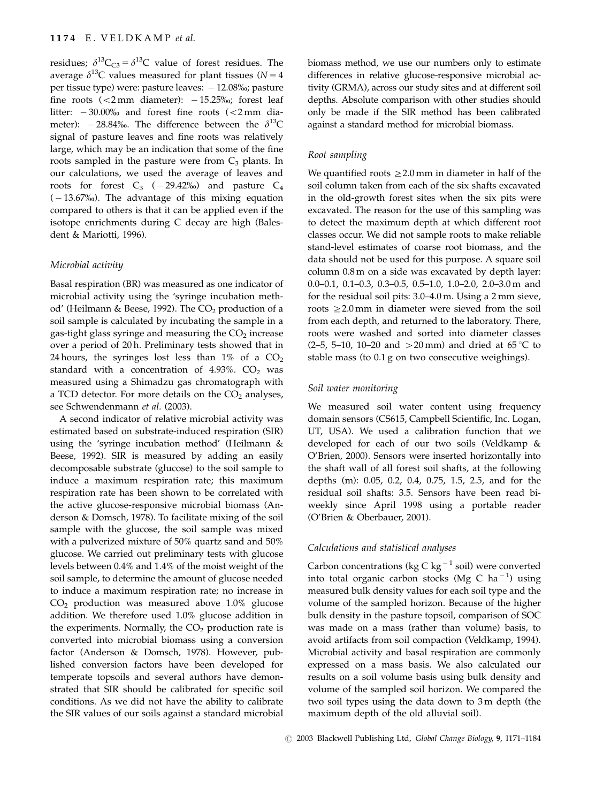residues;  $\delta^{13}C_{C3} = \delta^{13}C$  value of forest residues. The average  $\delta^{13}$ C values measured for plant tissues (N = 4 per tissue type) were: pasture leaves:  $-12.08\%$ ; pasture fine roots  $(<2$  mm diameter):  $-15.25\%$ ; forest leaf litter:  $-30.00\%$  and forest fine roots (<2 mm diameter):  $-28.84\%$ . The difference between the  $\delta^{13}$ C signal of pasture leaves and fine roots was relatively large, which may be an indication that some of the fine roots sampled in the pasture were from  $C_3$  plants. In our calculations, we used the average of leaves and roots for forest  $C_3$  ( $-29.42\%$ ) and pasture  $C_4$  $(-13.67)$ %, The advantage of this mixing equation compared to others is that it can be applied even if the isotope enrichments during C decay are high (Balesdent & Mariotti, 1996).

# Microbial activity

Basal respiration (BR) was measured as one indicator of microbial activity using the 'syringe incubation method' (Heilmann & Beese, 1992). The  $CO<sub>2</sub>$  production of a soil sample is calculated by incubating the sample in a gas-tight glass syringe and measuring the  $CO<sub>2</sub>$  increase over a period of 20 h. Preliminary tests showed that in 24 hours, the syringes lost less than  $1\%$  of a  $CO<sub>2</sub>$ standard with a concentration of 4.93%.  $CO<sub>2</sub>$  was measured using a Shimadzu gas chromatograph with a TCD detector. For more details on the  $CO<sub>2</sub>$  analyses, see Schwendenmann et al. (2003).

A second indicator of relative microbial activity was estimated based on substrate-induced respiration (SIR) using the 'syringe incubation method' (Heilmann & Beese, 1992). SIR is measured by adding an easily decomposable substrate (glucose) to the soil sample to induce a maximum respiration rate; this maximum respiration rate has been shown to be correlated with the active glucose-responsive microbial biomass (Anderson & Domsch, 1978). To facilitate mixing of the soil sample with the glucose, the soil sample was mixed with a pulverized mixture of 50% quartz sand and 50% glucose. We carried out preliminary tests with glucose levels between 0.4% and 1.4% of the moist weight of the soil sample, to determine the amount of glucose needed to induce a maximum respiration rate; no increase in CO2 production was measured above 1.0% glucose addition. We therefore used 1.0% glucose addition in the experiments. Normally, the  $CO<sub>2</sub>$  production rate is converted into microbial biomass using a conversion factor (Anderson & Domsch, 1978). However, published conversion factors have been developed for temperate topsoils and several authors have demonstrated that SIR should be calibrated for specific soil conditions. As we did not have the ability to calibrate the SIR values of our soils against a standard microbial

biomass method, we use our numbers only to estimate differences in relative glucose-responsive microbial activity (GRMA), across our study sites and at different soil depths. Absolute comparison with other studies should only be made if the SIR method has been calibrated against a standard method for microbial biomass.

# Root sampling

We quantified roots  $\geq$  2.0 mm in diameter in half of the soil column taken from each of the six shafts excavated in the old-growth forest sites when the six pits were excavated. The reason for the use of this sampling was to detect the maximum depth at which different root classes occur. We did not sample roots to make reliable stand-level estimates of coarse root biomass, and the data should not be used for this purpose. A square soil column 0.8 m on a side was excavated by depth layer: 0.0–0.1, 0.1–0.3, 0.3–0.5, 0.5–1.0, 1.0–2.0, 2.0–3.0 m and for the residual soil pits: 3.0–4.0 m. Using a 2 mm sieve, roots  $\geq$  2.0 mm in diameter were sieved from the soil from each depth, and returned to the laboratory. There, roots were washed and sorted into diameter classes (2–5, 5–10, 10–20 and  $>$ 20 mm) and dried at 65 °C to stable mass (to 0.1 g on two consecutive weighings).

# Soil water monitoring

We measured soil water content using frequency domain sensors (CS615, Campbell Scientific, Inc. Logan, UT, USA). We used a calibration function that we developed for each of our two soils (Veldkamp & O'Brien, 2000). Sensors were inserted horizontally into the shaft wall of all forest soil shafts, at the following depths (m): 0.05, 0.2, 0.4, 0.75, 1.5, 2.5, and for the residual soil shafts: 3.5. Sensors have been read biweekly since April 1998 using a portable reader (O'Brien & Oberbauer, 2001).

## Calculations and statistical analyses

Carbon concentrations (kg C kg<sup>-1</sup> soil) were converted into total organic carbon stocks (Mg C ha $^{-1}$ ) using measured bulk density values for each soil type and the volume of the sampled horizon. Because of the higher bulk density in the pasture topsoil, comparison of SOC was made on a mass (rather than volume) basis, to avoid artifacts from soil compaction (Veldkamp, 1994). Microbial activity and basal respiration are commonly expressed on a mass basis. We also calculated our results on a soil volume basis using bulk density and volume of the sampled soil horizon. We compared the two soil types using the data down to 3 m depth (the maximum depth of the old alluvial soil).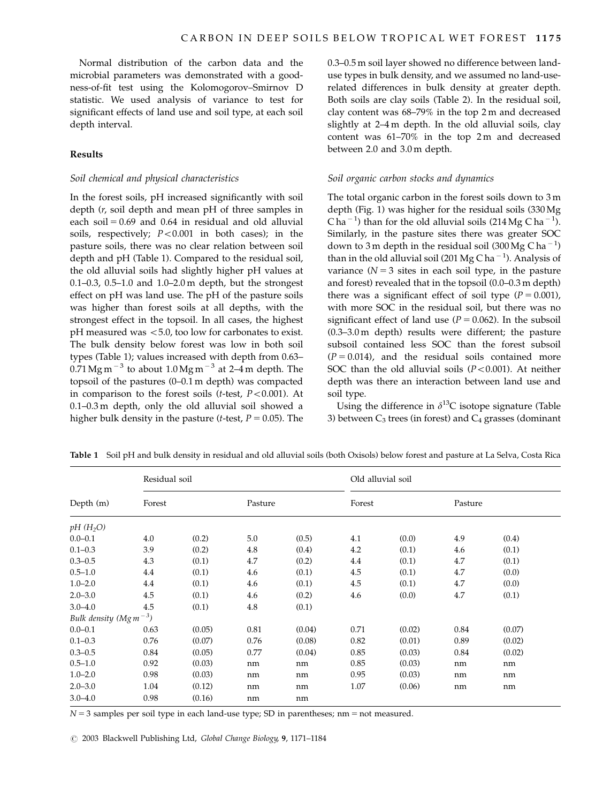Normal distribution of the carbon data and the microbial parameters was demonstrated with a goodness-of-fit test using the Kolomogorov–Smirnov D statistic. We used analysis of variance to test for significant effects of land use and soil type, at each soil depth interval.

# Results

#### Soil chemical and physical characteristics

In the forest soils, pH increased significantly with soil depth (r, soil depth and mean pH of three samples in each soil  $= 0.69$  and 0.64 in residual and old alluvial soils, respectively;  $P < 0.001$  in both cases); in the pasture soils, there was no clear relation between soil depth and pH (Table 1). Compared to the residual soil, the old alluvial soils had slightly higher pH values at 0.1–0.3, 0.5–1.0 and 1.0–2.0 m depth, but the strongest effect on pH was land use. The pH of the pasture soils was higher than forest soils at all depths, with the strongest effect in the topsoil. In all cases, the highest pH measured was  $<$  5.0, too low for carbonates to exist. The bulk density below forest was low in both soil types (Table 1); values increased with depth from 0.63–  $0.71$  Mg m<sup>-3</sup> to about 1.0 Mg m<sup>-3</sup> at 2-4 m depth. The topsoil of the pastures (0–0.1 m depth) was compacted in comparison to the forest soils ( $t$ -test,  $P < 0.001$ ). At 0.1–0.3 m depth, only the old alluvial soil showed a higher bulk density in the pasture (*t*-test,  $P = 0.05$ ). The 0.3–0.5 m soil layer showed no difference between landuse types in bulk density, and we assumed no land-userelated differences in bulk density at greater depth. Both soils are clay soils (Table 2). In the residual soil, clay content was 68–79% in the top 2 m and decreased slightly at 2–4 m depth. In the old alluvial soils, clay content was 61-70% in the top 2m and decreased between 2.0 and 3.0 m depth.

#### Soil organic carbon stocks and dynamics

The total organic carbon in the forest soils down to 3 m depth (Fig. 1) was higher for the residual soils (330 Mg Cha<sup>-1</sup>) than for the old alluvial soils (214Mg Cha<sup>-1</sup>). Similarly, in the pasture sites there was greater SOC down to 3 m depth in the residual soil (300 Mg C ha $^{-1}$ ) than in the old alluvial soil (201 Mg C ha  $^{-1}$ ). Analysis of variance  $(N = 3$  sites in each soil type, in the pasture and forest) revealed that in the topsoil (0.0–0.3 m depth) there was a significant effect of soil type  $(P = 0.001)$ , with more SOC in the residual soil, but there was no significant effect of land use ( $P = 0.062$ ). In the subsoil (0.3–3.0 m depth) results were different; the pasture subsoil contained less SOC than the forest subsoil  $(P = 0.014)$ , and the residual soils contained more SOC than the old alluvial soils  $(P<0.001)$ . At neither depth was there an interaction between land use and soil type.

Using the difference in  $\delta^{13}$ C isotope signature (Table 3) between  $C_3$  trees (in forest) and  $C_4$  grasses (dominant

|                             | Residual soil |        |      |         |      | Old alluvial soil |      |         |  |  |
|-----------------------------|---------------|--------|------|---------|------|-------------------|------|---------|--|--|
| Depth (m)                   | Forest        |        |      | Pasture |      | Forest            |      | Pasture |  |  |
| $pH(H_2O)$                  |               |        |      |         |      |                   |      |         |  |  |
| $0.0 - 0.1$                 | 4.0           | (0.2)  | 5.0  | (0.5)   | 4.1  | (0.0)             | 4.9  | (0.4)   |  |  |
| $0.1 - 0.3$                 | 3.9           | (0.2)  | 4.8  | (0.4)   | 4.2  | (0.1)             | 4.6  | (0.1)   |  |  |
| $0.3 - 0.5$                 | 4.3           | (0.1)  | 4.7  | (0.2)   | 4.4  | (0.1)             | 4.7  | (0.1)   |  |  |
| $0.5 - 1.0$                 | 4.4           | (0.1)  | 4.6  | (0.1)   | 4.5  | (0.1)             | 4.7  | (0.0)   |  |  |
| $1.0 - 2.0$                 | 4.4           | (0.1)  | 4.6  | (0.1)   | 4.5  | (0.1)             | 4.7  | (0.0)   |  |  |
| $2.0 - 3.0$                 | 4.5           | (0.1)  | 4.6  | (0.2)   | 4.6  | (0.0)             | 4.7  | (0.1)   |  |  |
| $3.0 - 4.0$                 | 4.5           | (0.1)  | 4.8  | (0.1)   |      |                   |      |         |  |  |
| Bulk density (Mg $m^{-3}$ ) |               |        |      |         |      |                   |      |         |  |  |
| $0.0 - 0.1$                 | 0.63          | (0.05) | 0.81 | (0.04)  | 0.71 | (0.02)            | 0.84 | (0.07)  |  |  |
| $0.1 - 0.3$                 | 0.76          | (0.07) | 0.76 | (0.08)  | 0.82 | (0.01)            | 0.89 | (0.02)  |  |  |
| $0.3 - 0.5$                 | 0.84          | (0.05) | 0.77 | (0.04)  | 0.85 | (0.03)            | 0.84 | (0.02)  |  |  |
| $0.5 - 1.0$                 | 0.92          | (0.03) | nm   | nm      | 0.85 | (0.03)            | nm   | nm      |  |  |
| $1.0 - 2.0$                 | 0.98          | (0.03) | nm   | nm      | 0.95 | (0.03)            | nm   | nm      |  |  |
| $2.0 - 3.0$                 | 1.04          | (0.12) | nm   | nm      | 1.07 | (0.06)            | nm   | nm      |  |  |
| $3.0 - 4.0$                 | 0.98          | (0.16) | nm   | nm      |      |                   |      |         |  |  |

Table 1 Soil pH and bulk density in residual and old alluvial soils (both Oxisols) below forest and pasture at La Selva, Costa Rica

 $N = 3$  samples per soil type in each land-use type; SD in parentheses; nm = not measured.

r 2003 Blackwell Publishing Ltd, Global Change Biology, 9, 1171–1184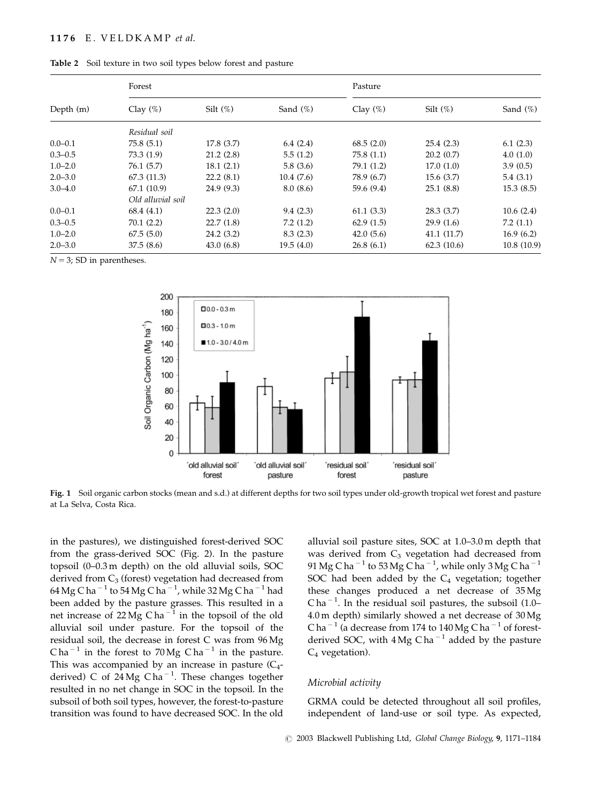| Depth (m)   | Forest            |             |             | Pasture     |             |             |  |  |  |
|-------------|-------------------|-------------|-------------|-------------|-------------|-------------|--|--|--|
|             | Clay $(\%)$       | Silt $(\%)$ | Sand $(\%)$ | Clay $(\%)$ | Silt $(\%)$ | Sand $(\%)$ |  |  |  |
|             | Residual soil     |             |             |             |             |             |  |  |  |
| $0.0 - 0.1$ | 75.8(5.1)         | 17.8(3.7)   | 6.4(2.4)    | 68.5(2.0)   | 25.4(2.3)   | 6.1(2.3)    |  |  |  |
| $0.3 - 0.5$ | 73.3(1.9)         | 21.2(2.8)   | 5.5(1.2)    | 75.8(1.1)   | 20.2(0.7)   | 4.0(1.0)    |  |  |  |
| $1.0 - 2.0$ | 76.1(5.7)         | 18.1(2.1)   | 5.8(3.6)    | 79.1 (1.2)  | 17.0(1.0)   | 3.9(0.5)    |  |  |  |
| $2.0 - 3.0$ | 67.3 (11.3)       | 22.2(8.1)   | 10.4(7.6)   | 78.9 (6.7)  | 15.6(3.7)   | 5.4(3.1)    |  |  |  |
| $3.0 - 4.0$ | 67.1 (10.9)       | 24.9(9.3)   | 8.0(8.6)    | 59.6 (9.4)  | 25.1(8.8)   | 15.3(8.5)   |  |  |  |
|             | Old alluvial soil |             |             |             |             |             |  |  |  |
| $0.0 - 0.1$ | 68.4(4.1)         | 22.3(2.0)   | 9.4(2.3)    | 61.1(3.3)   | 28.3(3.7)   | 10.6(2.4)   |  |  |  |
| $0.3 - 0.5$ | 70.1(2.2)         | 22.7(1.8)   | 7.2(1.2)    | 62.9(1.5)   | 29.9(1.6)   | 7.2(1.1)    |  |  |  |
| $1.0 - 2.0$ | 67.5(5.0)         | 24.2(3.2)   | 8.3(2.3)    | 42.0(5.6)   | 41.1 (11.7) | 16.9(6.2)   |  |  |  |
| $2.0 - 3.0$ | 37.5(8.6)         | 43.0(6.8)   | 19.5(4.0)   | 26.8(6.1)   | 62.3(10.6)  | 10.8(10.9)  |  |  |  |

Table 2 Soil texture in two soil types below forest and pasture

 $N = 3$ ; SD in parentheses.



Fig. 1 Soil organic carbon stocks (mean and s.d.) at different depths for two soil types under old-growth tropical wet forest and pasture at La Selva, Costa Rica.

in the pastures), we distinguished forest-derived SOC from the grass-derived SOC (Fig. 2). In the pasture topsoil (0–0.3 m depth) on the old alluvial soils, SOC derived from  $C_3$  (forest) vegetation had decreased from 64 Mg C ha  $^{-1}$  to 54 Mg C ha  $^{-1}$ , while 32 Mg C ha  $^{-1}$  had been added by the pasture grasses. This resulted in a net increase of  $22 \text{Mg}$  C ha<sup>-1</sup> in the topsoil of the old alluvial soil under pasture. For the topsoil of the residual soil, the decrease in forest C was from 96 Mg Cha<sup> $-1$ </sup> in the forest to 70 Mg Cha<sup> $-1$ </sup> in the pasture. This was accompanied by an increase in pasture  $(C_4$ derived) C of 24 Mg Cha<sup>-1</sup>. These changes together resulted in no net change in SOC in the topsoil. In the subsoil of both soil types, however, the forest-to-pasture transition was found to have decreased SOC. In the old

alluvial soil pasture sites, SOC at 1.0–3.0 m depth that was derived from  $C_3$  vegetation had decreased from 91 Mg C ha  $^{-1}$  to 53 Mg C ha  $^{-1}$ , while only 3 Mg C ha  $^{-1}$ SOC had been added by the  $C_4$  vegetation; together these changes produced a net decrease of 35 Mg  $Cha^{-1}$ . In the residual soil pastures, the subsoil (1.0– 4.0 m depth) similarly showed a net decrease of 30 Mg C ha<sup> $-1$ </sup> (a decrease from 174 to 140 Mg C ha<sup> $-1$ </sup> of forestderived SOC, with  $4\,\text{Mg}$  C ha<sup> $-1$ </sup> added by the pasture  $C_4$  vegetation).

#### Microbial activity

GRMA could be detected throughout all soil profiles, independent of land-use or soil type. As expected,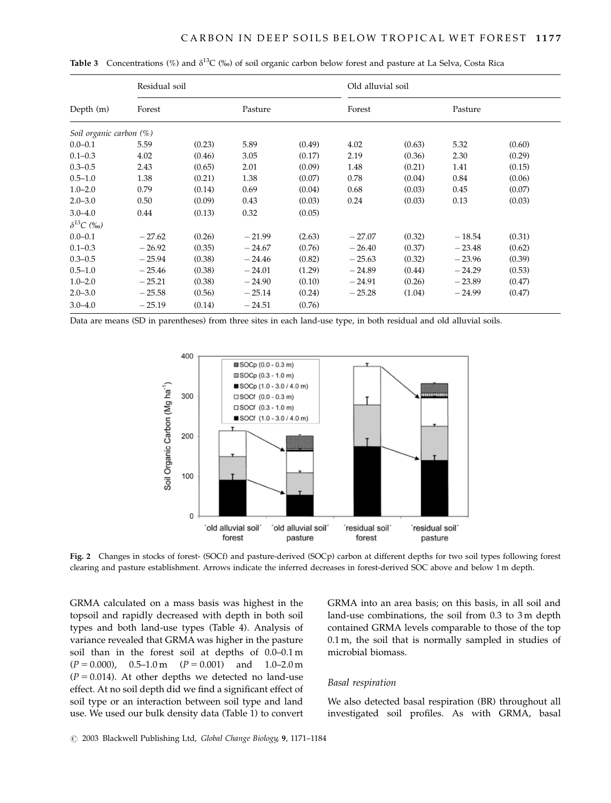|                         | Residual soil |        |          |        | Old alluvial soil |        |          |        |  |
|-------------------------|---------------|--------|----------|--------|-------------------|--------|----------|--------|--|
| Depth (m)               | Forest        |        | Pasture  |        | Forest            |        | Pasture  |        |  |
| Soil organic carbon (%) |               |        |          |        |                   |        |          |        |  |
| $0.0 - 0.1$             | 5.59          | (0.23) | 5.89     | (0.49) | 4.02              | (0.63) | 5.32     | (0.60) |  |
| $0.1 - 0.3$             | 4.02          | (0.46) | 3.05     | (0.17) | 2.19              | (0.36) | 2.30     | (0.29) |  |
| $0.3 - 0.5$             | 2.43          | (0.65) | 2.01     | (0.09) | 1.48              | (0.21) | 1.41     | (0.15) |  |
| $0.5 - 1.0$             | 1.38          | (0.21) | 1.38     | (0.07) | 0.78              | (0.04) | 0.84     | (0.06) |  |
| $1.0 - 2.0$             | 0.79          | (0.14) | 0.69     | (0.04) | 0.68              | (0.03) | 0.45     | (0.07) |  |
| $2.0 - 3.0$             | 0.50          | (0.09) | 0.43     | (0.03) | 0.24              | (0.03) | 0.13     | (0.03) |  |
| $3.0 - 4.0$             | 0.44          | (0.13) | 0.32     | (0.05) |                   |        |          |        |  |
| $\delta^{13}C (%)$      |               |        |          |        |                   |        |          |        |  |
| $0.0 - 0.1$             | $-27.62$      | (0.26) | $-21.99$ | (2.63) | $-27.07$          | (0.32) | $-18.54$ | (0.31) |  |
| $0.1 - 0.3$             | $-26.92$      | (0.35) | $-24.67$ | (0.76) | $-26.40$          | (0.37) | $-23.48$ | (0.62) |  |
| $0.3 - 0.5$             | $-25.94$      | (0.38) | $-24.46$ | (0.82) | $-25.63$          | (0.32) | $-23.96$ | (0.39) |  |
| $0.5 - 1.0$             | $-25.46$      | (0.38) | $-24.01$ | (1.29) | $-24.89$          | (0.44) | $-24.29$ | (0.53) |  |
| $1.0 - 2.0$             | $-25.21$      | (0.38) | $-24.90$ | (0.10) | $-24.91$          | (0.26) | $-23.89$ | (0.47) |  |
| $2.0 - 3.0$             | $-25.58$      | (0.56) | $-25.14$ | (0.24) | $-25.28$          | (1.04) | $-24.99$ | (0.47) |  |
| $3.0 - 4.0$             | $-25.19$      | (0.14) | $-24.51$ | (0.76) |                   |        |          |        |  |

Table 3 Concentrations (%) and  $\delta^{13}C$  (%) of soil organic carbon below forest and pasture at La Selva, Costa Rica

Data are means (SD in parentheses) from three sites in each land-use type, in both residual and old alluvial soils.



Fig. 2 Changes in stocks of forest- (SOCf) and pasture-derived (SOCp) carbon at different depths for two soil types following forest clearing and pasture establishment. Arrows indicate the inferred decreases in forest-derived SOC above and below 1 m depth.

GRMA calculated on a mass basis was highest in the topsoil and rapidly decreased with depth in both soil types and both land-use types (Table 4). Analysis of variance revealed that GRMA was higher in the pasture soil than in the forest soil at depths of 0.0–0.1 m  $(P = 0.000)$ , 0.5–1.0 m  $(P = 0.001)$  and 1.0–2.0 m  $(P = 0.014)$ . At other depths we detected no land-use effect. At no soil depth did we find a significant effect of soil type or an interaction between soil type and land use. We used our bulk density data (Table 1) to convert

GRMA into an area basis; on this basis, in all soil and land-use combinations, the soil from 0.3 to 3 m depth contained GRMA levels comparable to those of the top 0.1 m, the soil that is normally sampled in studies of microbial biomass.

## Basal respiration

We also detected basal respiration (BR) throughout all investigated soil profiles. As with GRMA, basal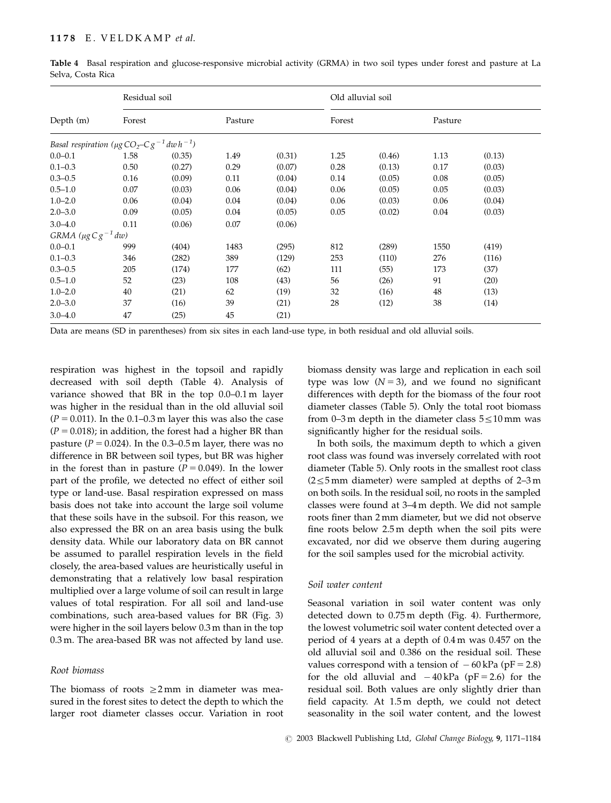|                                                                                     | Residual soil |        |         |        | Old alluvial soil |        |         |        |  |
|-------------------------------------------------------------------------------------|---------------|--------|---------|--------|-------------------|--------|---------|--------|--|
| Depth (m)                                                                           | Forest        |        | Pasture |        | Forest            |        | Pasture |        |  |
| Basal respiration ( $\mu$ g CO <sub>2</sub> -C g <sup>-1</sup> dw h <sup>-1</sup> ) |               |        |         |        |                   |        |         |        |  |
| $0.0 - 0.1$                                                                         | 1.58          | (0.35) | 1.49    | (0.31) | 1.25              | (0.46) | 1.13    | (0.13) |  |
| $0.1 - 0.3$                                                                         | 0.50          | (0.27) | 0.29    | (0.07) | 0.28              | (0.13) | 0.17    | (0.03) |  |
| $0.3 - 0.5$                                                                         | 0.16          | (0.09) | 0.11    | (0.04) | 0.14              | (0.05) | 0.08    | (0.05) |  |
| $0.5 - 1.0$                                                                         | 0.07          | (0.03) | 0.06    | (0.04) | 0.06              | (0.05) | 0.05    | (0.03) |  |
| $1.0 - 2.0$                                                                         | 0.06          | (0.04) | 0.04    | (0.04) | 0.06              | (0.03) | 0.06    | (0.04) |  |
| $2.0 - 3.0$                                                                         | 0.09          | (0.05) | 0.04    | (0.05) | 0.05              | (0.02) | 0.04    | (0.03) |  |
| $3.0 - 4.0$                                                                         | 0.11          | (0.06) | 0.07    | (0.06) |                   |        |         |        |  |
| GRMA ( $\mu$ g C g <sup>-1</sup> dw)                                                |               |        |         |        |                   |        |         |        |  |
| $0.0 - 0.1$                                                                         | 999           | (404)  | 1483    | (295)  | 812               | (289)  | 1550    | (419)  |  |
| $0.1 - 0.3$                                                                         | 346           | (282)  | 389     | (129)  | 253               | (110)  | 276     | (116)  |  |
| $0.3 - 0.5$                                                                         | 205           | (174)  | 177     | (62)   | 111               | (55)   | 173     | (37)   |  |
| $0.5 - 1.0$                                                                         | 52            | (23)   | 108     | (43)   | 56                | (26)   | 91      | (20)   |  |
| $1.0 - 2.0$                                                                         | 40            | (21)   | 62      | (19)   | 32                | (16)   | 48      | (13)   |  |
| $2.0 - 3.0$                                                                         | 37            | (16)   | 39      | (21)   | 28                | (12)   | 38      | (14)   |  |
| $3.0 - 4.0$                                                                         | 47            | (25)   | 45      | (21)   |                   |        |         |        |  |

Table 4 Basal respiration and glucose-responsive microbial activity (GRMA) in two soil types under forest and pasture at La Selva, Costa Rica

Data are means (SD in parentheses) from six sites in each land-use type, in both residual and old alluvial soils.

respiration was highest in the topsoil and rapidly decreased with soil depth (Table 4). Analysis of variance showed that BR in the top 0.0–0.1 m layer was higher in the residual than in the old alluvial soil  $(P = 0.011)$ . In the 0.1–0.3 m layer this was also the case  $(P = 0.018)$ ; in addition, the forest had a higher BR than pasture ( $P = 0.024$ ). In the 0.3–0.5 m layer, there was no difference in BR between soil types, but BR was higher in the forest than in pasture ( $P = 0.049$ ). In the lower part of the profile, we detected no effect of either soil type or land-use. Basal respiration expressed on mass basis does not take into account the large soil volume that these soils have in the subsoil. For this reason, we also expressed the BR on an area basis using the bulk density data. While our laboratory data on BR cannot be assumed to parallel respiration levels in the field closely, the area-based values are heuristically useful in demonstrating that a relatively low basal respiration multiplied over a large volume of soil can result in large values of total respiration. For all soil and land-use combinations, such area-based values for BR (Fig. 3) were higher in the soil layers below 0.3 m than in the top 0.3 m. The area-based BR was not affected by land use.

# Root biomass

The biomass of roots  $\geq$ 2 mm in diameter was measured in the forest sites to detect the depth to which the larger root diameter classes occur. Variation in root biomass density was large and replication in each soil type was low  $(N = 3)$ , and we found no significant differences with depth for the biomass of the four root diameter classes (Table 5). Only the total root biomass from 0–3 m depth in the diameter class  $5 \le 10$  mm was significantly higher for the residual soils.

In both soils, the maximum depth to which a given root class was found was inversely correlated with root diameter (Table 5). Only roots in the smallest root class  $(2 \leq 5 \text{ mm}$  diameter) were sampled at depths of 2–3 m on both soils. In the residual soil, no roots in the sampled classes were found at 3–4 m depth. We did not sample roots finer than 2 mm diameter, but we did not observe fine roots below 2.5 m depth when the soil pits were excavated, nor did we observe them during augering for the soil samples used for the microbial activity.

#### Soil water content

Seasonal variation in soil water content was only detected down to 0.75 m depth (Fig. 4). Furthermore, the lowest volumetric soil water content detected over a period of 4 years at a depth of 0.4 m was 0.457 on the old alluvial soil and 0.386 on the residual soil. These values correspond with a tension of  $-60$  kPa (pF = 2.8) for the old alluvial and  $-40$  kPa (pF = 2.6) for the residual soil. Both values are only slightly drier than field capacity. At 1.5 m depth, we could not detect seasonality in the soil water content, and the lowest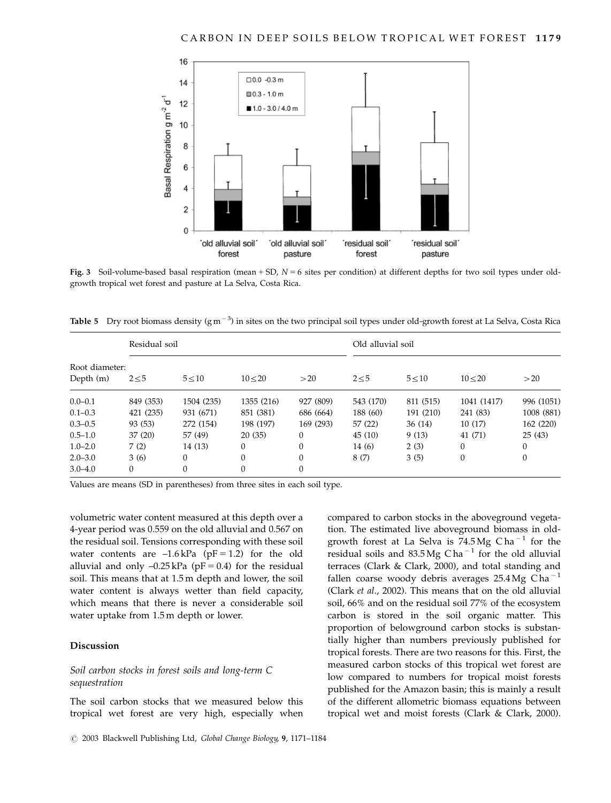

Fig. 3 Soil-volume-based basal respiration (mean  $+$  SD,  $N = 6$  sites per condition) at different depths for two soil types under oldgrowth tropical wet forest and pasture at La Selva, Costa Rica.

**Table 5** Dry root biomass density (g m<sup>-3</sup>) in sites on the two principal soil types under old-growth forest at La Selva, Costa Rica

|                               | Residual soil |            |                  |              |           | Old alluvial soil |                  |            |  |  |
|-------------------------------|---------------|------------|------------------|--------------|-----------|-------------------|------------------|------------|--|--|
| Root diameter:<br>Depth $(m)$ | $2 \leq 5$    | 5 < 10     | 10 < 20          | >20          | $2 \le 5$ | 5 < 10            | 10 < 20          | >20        |  |  |
| $0.0 - 0.1$                   | 849 (353)     | 1504 (235) | 1355 (216)       | 927 (809)    | 543 (170) | 811 (515)         | 1041 (1417)      | 996 (1051) |  |  |
| $0.1 - 0.3$                   | 421 (235)     | 931 (671)  | 851 (381)        | 686 (664)    | 188 (60)  | 191 (210)         | 241 (83)         | 1008 (881) |  |  |
| $0.3 - 0.5$                   | 93 (53)       | 272 (154)  | 198 (197)        | 169 (293)    | 57 (22)   | 36(14)            | 10(17)           | 162 (220)  |  |  |
| $0.5 - 1.0$                   | 37(20)        | 57 (49)    | 20(35)           | $\Omega$     | 45(10)    | 9(13)             | 41 (71)          | 25(43)     |  |  |
| $1.0 - 2.0$                   | 7(2)          | 14 (13)    | $\boldsymbol{0}$ | $\Omega$     | 14(6)     | 2(3)              | $\mathbf{0}$     | 0          |  |  |
| $2.0 - 3.0$                   | 3(6)          | $\Omega$   | $\theta$         | $\theta$     | 8(7)      | 3(5)              | $\boldsymbol{0}$ | 0          |  |  |
| $3.0 - 4.0$                   | $\mathbf{0}$  | $\theta$   | $\theta$         | $\mathbf{0}$ |           |                   |                  |            |  |  |

Values are means (SD in parentheses) from three sites in each soil type.

volumetric water content measured at this depth over a 4-year period was 0.559 on the old alluvial and 0.567 on the residual soil. Tensions corresponding with these soil water contents are  $-1.6$  kPa ( $pF = 1.2$ ) for the old alluvial and only  $-0.25$  kPa (pF = 0.4) for the residual soil. This means that at 1.5 m depth and lower, the soil water content is always wetter than field capacity, which means that there is never a considerable soil water uptake from 1.5 m depth or lower.

# Discussion

# Soil carbon stocks in forest soils and long-term C sequestration

The soil carbon stocks that we measured below this tropical wet forest are very high, especially when tion. The estimated live aboveground biomass in oldgrowth forest at La Selva is  $74.5 \text{ Mg } \text{Cha}^{-1}$  for the residual soils and  $83.5$  Mg C ha<sup>-1</sup> for the old alluvial terraces (Clark & Clark, 2000), and total standing and fallen coarse woody debris averages  $25.4$  Mg C ha<sup>-1</sup> (Clark et al., 2002). This means that on the old alluvial soil, 66% and on the residual soil 77% of the ecosystem carbon is stored in the soil organic matter. This proportion of belowground carbon stocks is substantially higher than numbers previously published for tropical forests. There are two reasons for this. First, the measured carbon stocks of this tropical wet forest are low compared to numbers for tropical moist forests published for the Amazon basin; this is mainly a result of the different allometric biomass equations between tropical wet and moist forests (Clark & Clark, 2000).

compared to carbon stocks in the aboveground vegeta-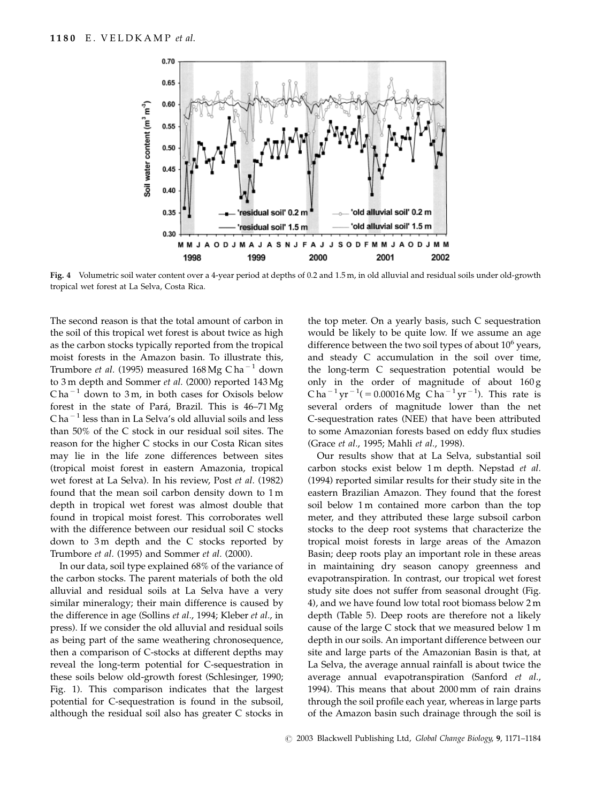

Fig. 4 Volumetric soil water content over a 4-year period at depths of 0.2 and 1.5 m, in old alluvial and residual soils under old-growth tropical wet forest at La Selva, Costa Rica.

The second reason is that the total amount of carbon in the soil of this tropical wet forest is about twice as high as the carbon stocks typically reported from the tropical moist forests in the Amazon basin. To illustrate this, Trumbore et al. (1995) measured  $168 \text{ Mg C}$  ha<sup>-1</sup> down to 3 m depth and Sommer et al. (2000) reported 143 Mg  $Cha^{-1}$  down to 3 m, in both cases for Oxisols below forest in the state of Pará, Brazil. This is 46–71 Mg  $Cha^{-1}$  less than in La Selva's old alluvial soils and less than 50% of the C stock in our residual soil sites. The reason for the higher C stocks in our Costa Rican sites may lie in the life zone differences between sites (tropical moist forest in eastern Amazonia, tropical wet forest at La Selva). In his review, Post et al. (1982) found that the mean soil carbon density down to 1 m depth in tropical wet forest was almost double that found in tropical moist forest. This corroborates well with the difference between our residual soil C stocks down to 3m depth and the C stocks reported by Trumbore et al. (1995) and Sommer et al. (2000).

In our data, soil type explained 68% of the variance of the carbon stocks. The parent materials of both the old alluvial and residual soils at La Selva have a very similar mineralogy; their main difference is caused by the difference in age (Sollins et al., 1994; Kleber et al., in press). If we consider the old alluvial and residual soils as being part of the same weathering chronosequence, then a comparison of C-stocks at different depths may reveal the long-term potential for C-sequestration in these soils below old-growth forest (Schlesinger, 1990; Fig. 1). This comparison indicates that the largest potential for C-sequestration is found in the subsoil, although the residual soil also has greater C stocks in the top meter. On a yearly basis, such C sequestration would be likely to be quite low. If we assume an age difference between the two soil types of about  $10<sup>6</sup>$  years, and steady C accumulation in the soil over time, the long-term C sequestration potential would be only in the order of magnitude of about  $160 g$  $Cha^{-1}yr^{-1} (= 0.00016 Mg Cha^{-1}yr^{-1})$ . This rate is several orders of magnitude lower than the net C-sequestration rates (NEE) that have been attributed to some Amazonian forests based on eddy flux studies (Grace et al., 1995; Mahli et al., 1998).

Our results show that at La Selva, substantial soil carbon stocks exist below 1 m depth. Nepstad et al. (1994) reported similar results for their study site in the eastern Brazilian Amazon. They found that the forest soil below 1 m contained more carbon than the top meter, and they attributed these large subsoil carbon stocks to the deep root systems that characterize the tropical moist forests in large areas of the Amazon Basin; deep roots play an important role in these areas in maintaining dry season canopy greenness and evapotranspiration. In contrast, our tropical wet forest study site does not suffer from seasonal drought (Fig. 4), and we have found low total root biomass below 2 m depth (Table 5). Deep roots are therefore not a likely cause of the large C stock that we measured below 1 m depth in our soils. An important difference between our site and large parts of the Amazonian Basin is that, at La Selva, the average annual rainfall is about twice the average annual evapotranspiration (Sanford et al., 1994). This means that about 2000 mm of rain drains through the soil profile each year, whereas in large parts of the Amazon basin such drainage through the soil is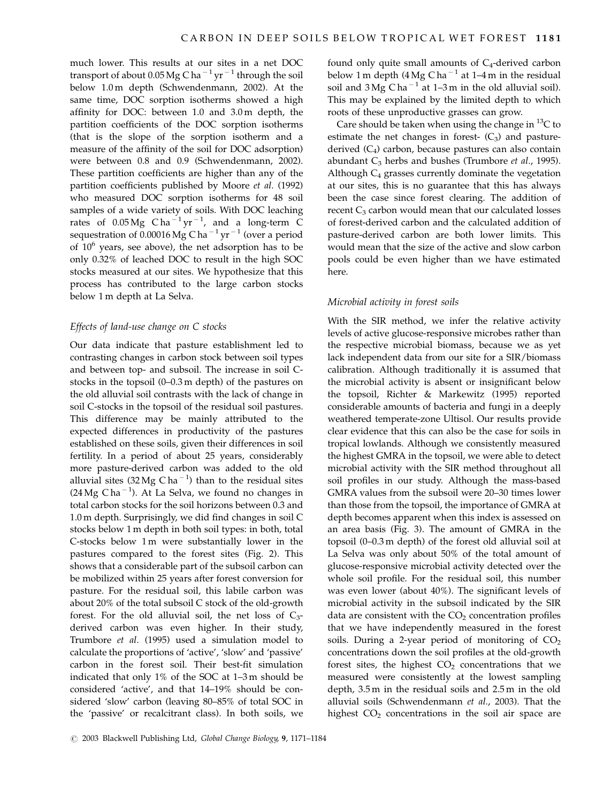much lower. This results at our sites in a net DOC transport of about 0.05 Mg C ha<sup> $-1$ </sup> yr<sup> $-1$ </sup> through the soil below 1.0 m depth (Schwendenmann, 2002). At the same time, DOC sorption isotherms showed a high affinity for DOC: between 1.0 and 3.0 m depth, the partition coefficients of the DOC sorption isotherms (that is the slope of the sorption isotherm and a measure of the affinity of the soil for DOC adsorption) were between 0.8 and 0.9 (Schwendenmann, 2002). These partition coefficients are higher than any of the partition coefficients published by Moore et al. (1992) who measured DOC sorption isotherms for 48 soil samples of a wide variety of soils. With DOC leaching rates of  $0.05 \text{Mg}$  Cha<sup>-1</sup>yr<sup>-1</sup>, and a long-term C sequestration of 0.00016 Mg C ha<sup> $-1$ </sup> yr<sup> $-1$ </sup> (over a period of  $10^6$  years, see above), the net adsorption has to be only 0.32% of leached DOC to result in the high SOC stocks measured at our sites. We hypothesize that this process has contributed to the large carbon stocks below 1 m depth at La Selva.

#### Effects of land-use change on C stocks

Our data indicate that pasture establishment led to contrasting changes in carbon stock between soil types and between top- and subsoil. The increase in soil Cstocks in the topsoil (0–0.3 m depth) of the pastures on the old alluvial soil contrasts with the lack of change in soil C-stocks in the topsoil of the residual soil pastures. This difference may be mainly attributed to the expected differences in productivity of the pastures established on these soils, given their differences in soil fertility. In a period of about 25 years, considerably more pasture-derived carbon was added to the old alluvial sites (32 Mg C ha<sup>-1</sup>) than to the residual sites  $(24 \text{ Mg C} \text{ ha}^{-1})$ . At La Selva, we found no changes in total carbon stocks for the soil horizons between 0.3 and 1.0 m depth. Surprisingly, we did find changes in soil C stocks below 1 m depth in both soil types: in both, total C-stocks below 1 m were substantially lower in the pastures compared to the forest sites (Fig. 2). This shows that a considerable part of the subsoil carbon can be mobilized within 25 years after forest conversion for pasture. For the residual soil, this labile carbon was about 20% of the total subsoil C stock of the old-growth forest. For the old alluvial soil, the net loss of  $C_3$ derived carbon was even higher. In their study, Trumbore et al. (1995) used a simulation model to calculate the proportions of 'active', 'slow' and 'passive' carbon in the forest soil. Their best-fit simulation indicated that only 1% of the SOC at 1–3 m should be considered 'active', and that 14–19% should be considered 'slow' carbon (leaving 80–85% of total SOC in the 'passive' or recalcitrant class). In both soils, we found only quite small amounts of  $C_4$ -derived carbon below 1 m depth  $(4 \text{ Mg C} \text{ ha}^{-1}$  at 1–4 m in the residual soil and  $3\text{Mg}$  C ha<sup>-1</sup> at 1-3 m in the old alluvial soil). This may be explained by the limited depth to which roots of these unproductive grasses can grow.

Care should be taken when using the change in  ${}^{13}C$  to estimate the net changes in forest-  $(C_3)$  and pasturederived  $(C_4)$  carbon, because pastures can also contain abundant  $C_3$  herbs and bushes (Trumbore et al., 1995). Although  $C_4$  grasses currently dominate the vegetation at our sites, this is no guarantee that this has always been the case since forest clearing. The addition of recent  $C_3$  carbon would mean that our calculated losses of forest-derived carbon and the calculated addition of pasture-derived carbon are both lower limits. This would mean that the size of the active and slow carbon pools could be even higher than we have estimated here.

#### Microbial activity in forest soils

With the SIR method, we infer the relative activity levels of active glucose-responsive microbes rather than the respective microbial biomass, because we as yet lack independent data from our site for a SIR/biomass calibration. Although traditionally it is assumed that the microbial activity is absent or insignificant below the topsoil, Richter & Markewitz (1995) reported considerable amounts of bacteria and fungi in a deeply weathered temperate-zone Ultisol. Our results provide clear evidence that this can also be the case for soils in tropical lowlands. Although we consistently measured the highest GMRA in the topsoil, we were able to detect microbial activity with the SIR method throughout all soil profiles in our study. Although the mass-based GMRA values from the subsoil were 20–30 times lower than those from the topsoil, the importance of GMRA at depth becomes apparent when this index is assessed on an area basis (Fig. 3). The amount of GMRA in the topsoil (0–0.3 m depth) of the forest old alluvial soil at La Selva was only about 50% of the total amount of glucose-responsive microbial activity detected over the whole soil profile. For the residual soil, this number was even lower (about 40%). The significant levels of microbial activity in the subsoil indicated by the SIR data are consistent with the  $CO<sub>2</sub>$  concentration profiles that we have independently measured in the forest soils. During a 2-year period of monitoring of  $CO<sub>2</sub>$ concentrations down the soil profiles at the old-growth forest sites, the highest  $CO<sub>2</sub>$  concentrations that we measured were consistently at the lowest sampling depth, 3.5 m in the residual soils and 2.5 m in the old alluvial soils (Schwendenmann et al., 2003). That the highest  $CO<sub>2</sub>$  concentrations in the soil air space are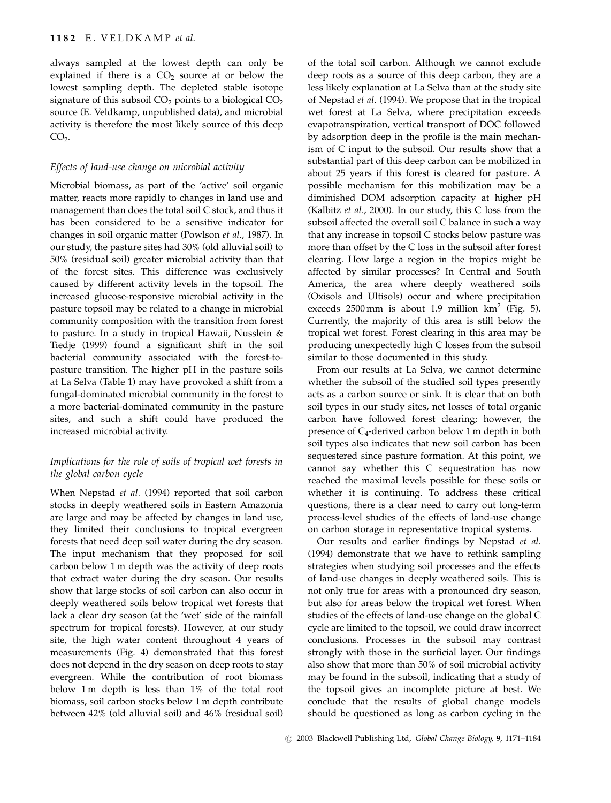always sampled at the lowest depth can only be explained if there is a  $CO<sub>2</sub>$  source at or below the lowest sampling depth. The depleted stable isotope signature of this subsoil  $CO<sub>2</sub>$  points to a biological  $CO<sub>2</sub>$ source (E. Veldkamp, unpublished data), and microbial activity is therefore the most likely source of this deep  $CO<sub>2</sub>$ .

#### Effects of land-use change on microbial activity

Microbial biomass, as part of the 'active' soil organic matter, reacts more rapidly to changes in land use and management than does the total soil C stock, and thus it has been considered to be a sensitive indicator for changes in soil organic matter (Powlson et al., 1987). In our study, the pasture sites had 30% (old alluvial soil) to 50% (residual soil) greater microbial activity than that of the forest sites. This difference was exclusively caused by different activity levels in the topsoil. The increased glucose-responsive microbial activity in the pasture topsoil may be related to a change in microbial community composition with the transition from forest to pasture. In a study in tropical Hawaii, Nusslein & Tiedje (1999) found a significant shift in the soil bacterial community associated with the forest-topasture transition. The higher pH in the pasture soils at La Selva (Table 1) may have provoked a shift from a fungal-dominated microbial community in the forest to a more bacterial-dominated community in the pasture sites, and such a shift could have produced the increased microbial activity.

# Implications for the role of soils of tropical wet forests in the global carbon cycle

When Nepstad et al. (1994) reported that soil carbon stocks in deeply weathered soils in Eastern Amazonia are large and may be affected by changes in land use, they limited their conclusions to tropical evergreen forests that need deep soil water during the dry season. The input mechanism that they proposed for soil carbon below 1 m depth was the activity of deep roots that extract water during the dry season. Our results show that large stocks of soil carbon can also occur in deeply weathered soils below tropical wet forests that lack a clear dry season (at the 'wet' side of the rainfall spectrum for tropical forests). However, at our study site, the high water content throughout 4 years of measurements (Fig. 4) demonstrated that this forest does not depend in the dry season on deep roots to stay evergreen. While the contribution of root biomass below 1 m depth is less than 1% of the total root biomass, soil carbon stocks below 1 m depth contribute between 42% (old alluvial soil) and 46% (residual soil)

of the total soil carbon. Although we cannot exclude deep roots as a source of this deep carbon, they are a less likely explanation at La Selva than at the study site of Nepstad et al. (1994). We propose that in the tropical wet forest at La Selva, where precipitation exceeds evapotranspiration, vertical transport of DOC followed by adsorption deep in the profile is the main mechanism of C input to the subsoil. Our results show that a substantial part of this deep carbon can be mobilized in about 25 years if this forest is cleared for pasture. A possible mechanism for this mobilization may be a diminished DOM adsorption capacity at higher pH (Kalbitz et al., 2000). In our study, this C loss from the subsoil affected the overall soil C balance in such a way that any increase in topsoil C stocks below pasture was more than offset by the C loss in the subsoil after forest clearing. How large a region in the tropics might be affected by similar processes? In Central and South America, the area where deeply weathered soils (Oxisols and Ultisols) occur and where precipitation exceeds  $2500 \text{ mm}$  is about 1.9 million  $\text{km}^2$  (Fig. 5). Currently, the majority of this area is still below the tropical wet forest. Forest clearing in this area may be producing unexpectedly high C losses from the subsoil similar to those documented in this study.

From our results at La Selva, we cannot determine whether the subsoil of the studied soil types presently acts as a carbon source or sink. It is clear that on both soil types in our study sites, net losses of total organic carbon have followed forest clearing; however, the presence of  $C_4$ -derived carbon below 1 m depth in both soil types also indicates that new soil carbon has been sequestered since pasture formation. At this point, we cannot say whether this C sequestration has now reached the maximal levels possible for these soils or whether it is continuing. To address these critical questions, there is a clear need to carry out long-term process-level studies of the effects of land-use change on carbon storage in representative tropical systems.

Our results and earlier findings by Nepstad et al. (1994) demonstrate that we have to rethink sampling strategies when studying soil processes and the effects of land-use changes in deeply weathered soils. This is not only true for areas with a pronounced dry season, but also for areas below the tropical wet forest. When studies of the effects of land-use change on the global C cycle are limited to the topsoil, we could draw incorrect conclusions. Processes in the subsoil may contrast strongly with those in the surficial layer. Our findings also show that more than 50% of soil microbial activity may be found in the subsoil, indicating that a study of the topsoil gives an incomplete picture at best. We conclude that the results of global change models should be questioned as long as carbon cycling in the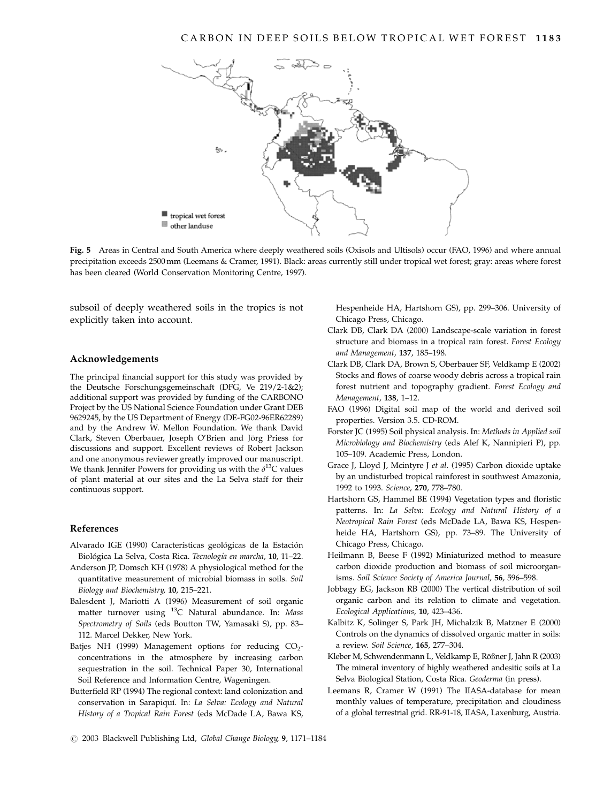

Fig. 5 Areas in Central and South America where deeply weathered soils (Oxisols and Ultisols) occur (FAO, 1996) and where annual precipitation exceeds 2500 mm (Leemans & Cramer, 1991). Black: areas currently still under tropical wet forest; gray: areas where forest has been cleared (World Conservation Monitoring Centre, 1997).

subsoil of deeply weathered soils in the tropics is not explicitly taken into account.

## Acknowledgements

The principal financial support for this study was provided by the Deutsche Forschungsgemeinschaft (DFG, Ve 219/2-1&2); additional support was provided by funding of the CARBONO Project by the US National Science Foundation under Grant DEB 9629245, by the US Department of Energy (DE-FG02-96ER62289) and by the Andrew W. Mellon Foundation. We thank David Clark, Steven Oberbauer, Joseph O'Brien and Jörg Priess for discussions and support. Excellent reviews of Robert Jackson and one anonymous reviewer greatly improved our manuscript. We thank Jennifer Powers for providing us with the  $\delta^{13}$ C values of plant material at our sites and the La Selva staff for their continuous support.

### References

- Alvarado IGE (1990) Características geológicas de la Estación Biológica La Selva, Costa Rica. Tecnología en marcha, 10, 11–22.
- Anderson JP, Domsch KH (1978) A physiological method for the quantitative measurement of microbial biomass in soils. Soil Biology and Biochemistry, 10, 215–221.
- Balesdent J, Mariotti A (1996) Measurement of soil organic matter turnover using <sup>13</sup>C Natural abundance. In: Mass Spectrometry of Soils (eds Boutton TW, Yamasaki S), pp. 83– 112. Marcel Dekker, New York.
- Batjes NH (1999) Management options for reducing  $CO<sub>2</sub>$ concentrations in the atmosphere by increasing carbon sequestration in the soil. Technical Paper 30, International Soil Reference and Information Centre, Wageningen.
- Butterfield RP (1994) The regional context: land colonization and conservation in Sarapiquí. In: La Selva: Ecology and Natural History of a Tropical Rain Forest (eds McDade LA, Bawa KS,

Hespenheide HA, Hartshorn GS), pp. 299–306. University of Chicago Press, Chicago.

- Clark DB, Clark DA (2000) Landscape-scale variation in forest structure and biomass in a tropical rain forest. Forest Ecology and Management, 137, 185-198.
- Clark DB, Clark DA, Brown S, Oberbauer SF, Veldkamp E (2002) Stocks and flows of coarse woody debris across a tropical rain forest nutrient and topography gradient. Forest Ecology and Management, 138, 1–12.
- FAO (1996) Digital soil map of the world and derived soil properties. Version 3.5. CD-ROM.
- Forster JC (1995) Soil physical analysis. In: Methods in Applied soil Microbiology and Biochemistry (eds Alef K, Nannipieri P), pp. 105–109. Academic Press, London.
- Grace J, Lloyd J, Mcintyre J et al. (1995) Carbon dioxide uptake by an undisturbed tropical rainforest in southwest Amazonia, 1992 to 1993. Science, 270, 778–780.
- Hartshorn GS, Hammel BE (1994) Vegetation types and floristic patterns. In: La Selva: Ecology and Natural History of a Neotropical Rain Forest (eds McDade LA, Bawa KS, Hespenheide HA, Hartshorn GS), pp. 73–89. The University of Chicago Press, Chicago.
- Heilmann B, Beese F (1992) Miniaturized method to measure carbon dioxide production and biomass of soil microorganisms. Soil Science Society of America Journal, 56, 596–598.
- Jobbagy EG, Jackson RB (2000) The vertical distribution of soil organic carbon and its relation to climate and vegetation. Ecological Applications, 10, 423–436.
- Kalbitz K, Solinger S, Park JH, Michalzik B, Matzner E (2000) Controls on the dynamics of dissolved organic matter in soils: a review. Soil Science, 165, 277–304.
- Kleber M, Schwendenmann L, Veldkamp E, Rößner J, Jahn R (2003) The mineral inventory of highly weathered andesitic soils at La Selva Biological Station, Costa Rica. Geoderma (in press).
- Leemans R, Cramer W (1991) The IIASA-database for mean monthly values of temperature, precipitation and cloudiness of a global terrestrial grid. RR-91-18, IIASA, Laxenburg, Austria.
- $C$  2003 Blackwell Publishing Ltd, Global Change Biology, 9, 1171–1184